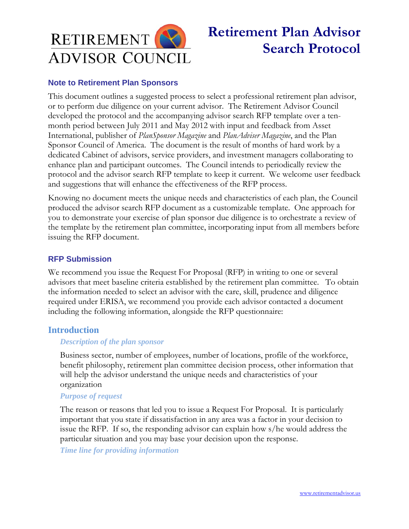

# **Retirement Plan Advisor Search Protocol**

## **Note to Retirement Plan Sponsors**

This document outlines a suggested process to select a professional retirement plan advisor, or to perform due diligence on your current advisor. The Retirement Advisor Council developed the protocol and the accompanying advisor search RFP template over a tenmonth period between July 2011 and May 2012 with input and feedback from Asset International, publisher of *PlanSponsor Magazine* and *PlanAdviser Magazine*, and the Plan Sponsor Council of America. The document is the result of months of hard work by a dedicated Cabinet of advisors, service providers, and investment managers collaborating to enhance plan and participant outcomes. The Council intends to periodically review the protocol and the advisor search RFP template to keep it current. We welcome user feedback and suggestions that will enhance the effectiveness of the RFP process.

Knowing no document meets the unique needs and characteristics of each plan, the Council produced the advisor search RFP document as a customizable template. One approach for you to demonstrate your exercise of plan sponsor due diligence is to orchestrate a review of the template by the retirement plan committee, incorporating input from all members before issuing the RFP document.

## **RFP Submission**

We recommend you issue the Request For Proposal (RFP) in writing to one or several advisors that meet baseline criteria established by the retirement plan committee. To obtain the information needed to select an advisor with the care, skill, prudence and diligence required under ERISA, we recommend you provide each advisor contacted a document including the following information, alongside the RFP questionnaire:

## **Introduction**

## *Description of the plan sponsor*

Business sector, number of employees, number of locations, profile of the workforce, benefit philosophy, retirement plan committee decision process, other information that will help the advisor understand the unique needs and characteristics of your organization

## *Purpose of request*

The reason or reasons that led you to issue a Request For Proposal. It is particularly important that you state if dissatisfaction in any area was a factor in your decision to issue the RFP. If so, the responding advisor can explain how s/he would address the particular situation and you may base your decision upon the response.

*Time line for providing information*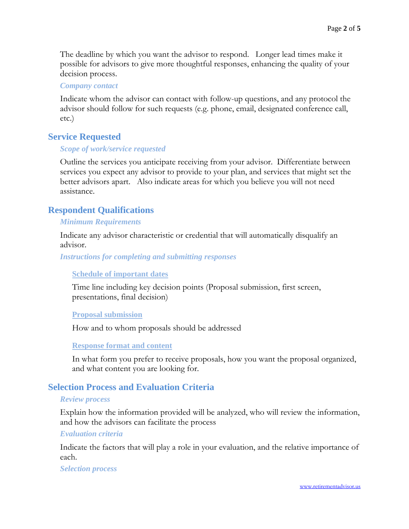The deadline by which you want the advisor to respond. Longer lead times make it possible for advisors to give more thoughtful responses, enhancing the quality of your decision process.

#### *Company contact*

Indicate whom the advisor can contact with follow-up questions, and any protocol the advisor should follow for such requests (e.g. phone, email, designated conference call, etc.)

## **Service Requested**

#### *Scope of work/service requested*

Outline the services you anticipate receiving from your advisor. Differentiate between services you expect any advisor to provide to your plan, and services that might set the better advisors apart. Also indicate areas for which you believe you will not need assistance.

## **Respondent Qualifications**

#### *Minimum Requirements*

Indicate any advisor characteristic or credential that will automatically disqualify an advisor.

*Instructions for completing and submitting responses* 

#### **Schedule of important dates**

Time line including key decision points (Proposal submission, first screen, presentations, final decision)

#### **Proposal submission**

How and to whom proposals should be addressed

#### **Response format and content**

In what form you prefer to receive proposals, how you want the proposal organized, and what content you are looking for.

## **Selection Process and Evaluation Criteria**

#### *Review process*

Explain how the information provided will be analyzed, who will review the information, and how the advisors can facilitate the process

#### *Evaluation criteria*

Indicate the factors that will play a role in your evaluation, and the relative importance of each.

#### *Selection process*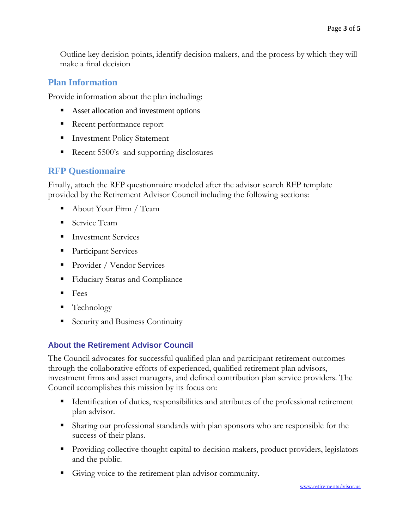Outline key decision points, identify decision makers, and the process by which they will make a final decision

## **Plan Information**

Provide information about the plan including:

- Asset allocation and investment options
- Recent performance report
- Investment Policy Statement
- Recent 5500's and supporting disclosures

# **RFP Questionnaire**

Finally, attach the RFP questionnaire modeled after the advisor search RFP template provided by the Retirement Advisor Council including the following sections:

- About Your Firm / Team
- Service Team
- **Investment Services**
- **Participant Services**
- Provider / Vendor Services
- **Fiduciary Status and Compliance**
- $\blacksquare$  Fees
- Technology
- Security and Business Continuity

# **About the Retirement Advisor Council**

The Council advocates for successful qualified plan and participant retirement outcomes through the collaborative efforts of experienced, qualified retirement plan advisors, investment firms and asset managers, and defined contribution plan service providers. The Council accomplishes this mission by its focus on:

- Identification of duties, responsibilities and attributes of the professional retirement plan advisor.
- Sharing our professional standards with plan sponsors who are responsible for the success of their plans.
- **Providing collective thought capital to decision makers, product providers, legislators** and the public.
- Giving voice to the retirement plan advisor community.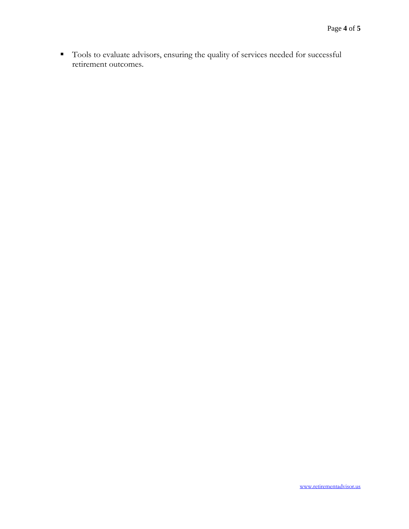Tools to evaluate advisors, ensuring the quality of services needed for successful retirement outcomes.